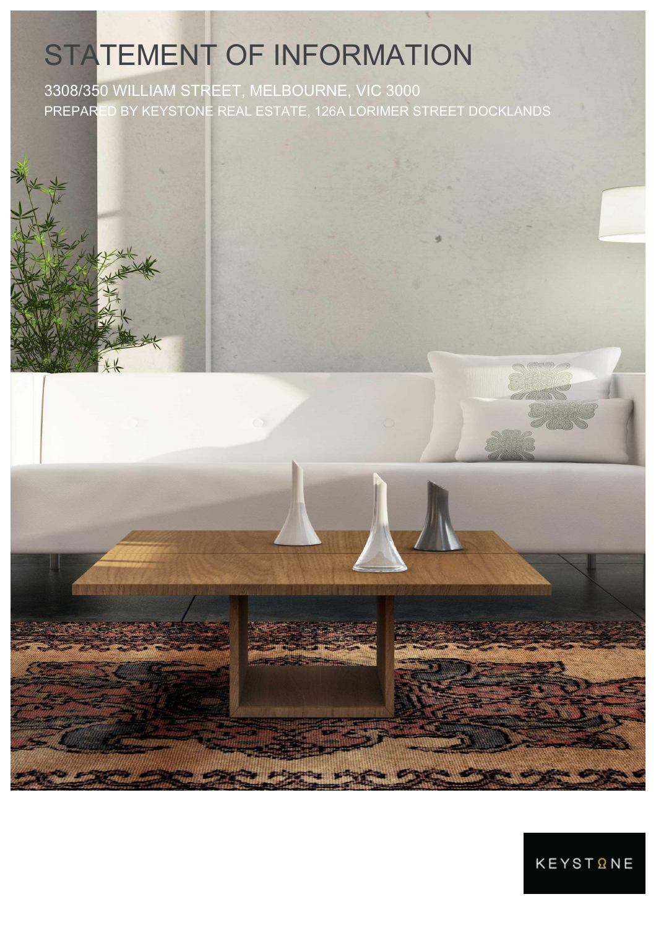# STATEMENT OF INFORMATION

3308/350 WILLIAM STREET, MELBOURNE, VIC 3000 PREPARED BY KEYSTONE REAL ESTATE, 126A LORIMER STREET DOCKLANDS

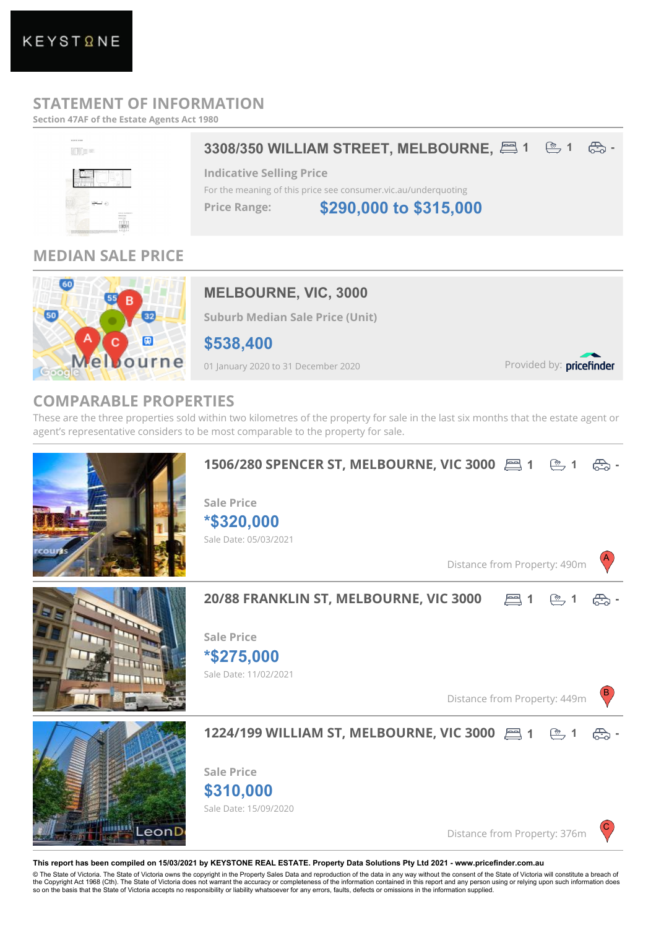## **STATEMENT OF INFORMATION**

**Section 47AF of the Estate Agents Act 1980**



## **MEDIAN SALE PRICE**



### **MELBOURNE, VIC, 3000**

**Suburb Median Sale Price (Unit)**

**\$538,400**

01 January 2020 to 31 December 2020

Provided by: pricefinder

## **COMPARABLE PROPERTIES**

These are the three properties sold within two kilometres of the property for sale in the last six months that the estate agent or agent's representative considers to be most comparable to the property for sale.



**This report has been compiled on 15/03/2021 by KEYSTONE REAL ESTATE. Property Data Solutions Pty Ltd 2021 - www.pricefinder.com.au**

© The State of Victoria. The State of Victoria owns the copyright in the Property Sales Data and reproduction of the data in any way without the consent of the State of Victoria will constitute a breach of the Copyright Act 1968 (Cth). The State of Victoria does not warrant the accuracy or completeness of the information contained in this report and any person using or relying upon such information does so on the basis that the State of Victoria accepts no responsibility or liability whatsoever for any errors, faults, defects or omissions in the information supplied.